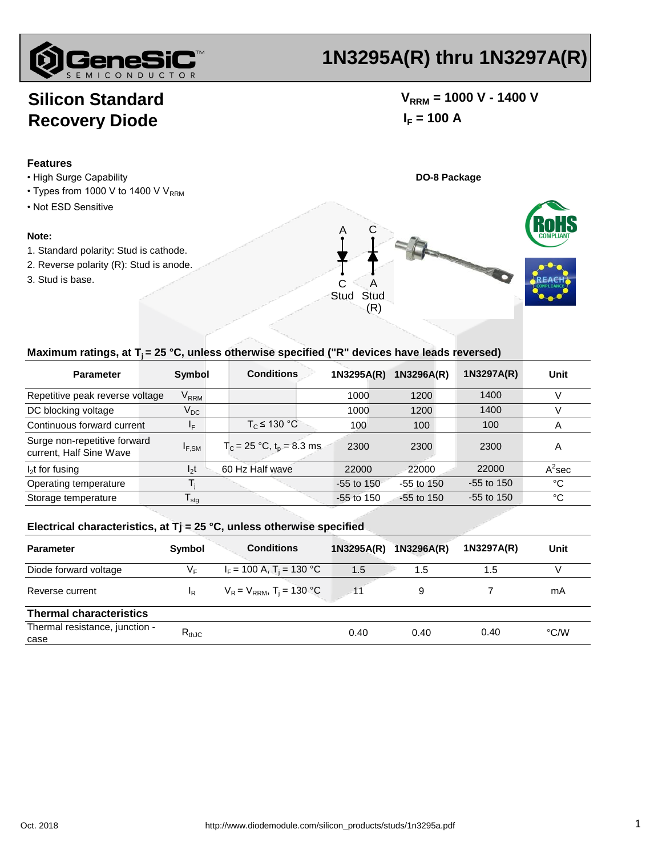

# **1N3295A(R) thru 1N3297A(R)**

## **Silicon Standard Recovery Diode**

### $V_{RRM}$  = 1000 V - 1400 V  $I_F = 100 A$

**Features**

- High Surge Capability **DO-8 Package**
- Types from 1000 V to 1400 V  $V_{RRM}$
- Not ESD Sensitive

#### **Note:**

- 1. Standard polarity: Stud is cathode.
- 2. Reverse polarity (R): Stud is anode.
- 3. Stud is base.



#### Maximum ratings, at T<sub>i</sub> = 25 °C, unless otherwise specified ("R" devices have leads reversed)

| <b>Parameter</b>                                        | Symbol                      | <b>Conditions</b>              | 1N3295A(R)     | 1N3296A(R)   | 1N3297A(R)   | Unit      |
|---------------------------------------------------------|-----------------------------|--------------------------------|----------------|--------------|--------------|-----------|
| Repetitive peak reverse voltage                         | $\mathsf{V}_{\mathsf{RRM}}$ |                                | 1000           | 1200         | 1400         |           |
| DC blocking voltage                                     | $\mathsf{V}_{\mathsf{DC}}$  |                                | 1000           | 1200         | 1400         |           |
| Continuous forward current                              | ΙF                          | $T_c \leq 130 °C$              | 100            | 100          | 100          | A         |
| Surge non-repetitive forward<br>current, Half Sine Wave | $I_{F,SM}$                  | $T_c = 25 °C$ , $t_p = 8.3$ ms | 2300           | 2300         | 2300         | A         |
| $I_2$ t for fusing                                      | $I_2t$                      | 60 Hz Half wave                | 22000          | 22000        | 22000        | $A^2$ sec |
| Operating temperature                                   |                             |                                | $-55$ to $150$ | $-55$ to 150 | $-55$ to 150 | °C        |
| Storage temperature                                     | $\mathsf{I}_{\mathsf{stq}}$ |                                | $-55$ to 150   | $-55$ to 150 | $-55$ to 150 | °C        |

#### **Electrical characteristics, at Tj = 25 °C, unless otherwise specified**

| <b>Parameter</b>                       | Symbol                    | <b>Conditions</b>                         | 1N3295A(R) | 1N3296A(R) | 1N3297A(R) | Unit |
|----------------------------------------|---------------------------|-------------------------------------------|------------|------------|------------|------|
| Diode forward voltage                  | $V_F$                     | $I_F$ = 100 A, T <sub>i</sub> = 130 °C    | 1.5        | 1.5        | 1.5        |      |
| Reverse current                        | $\mathsf{I}_{\mathsf{R}}$ | $V_R = V_{RRM}$ , T <sub>i</sub> = 130 °C |            | 9          |            | mA   |
| <b>Thermal characteristics</b>         |                           |                                           |            |            |            |      |
| Thermal resistance, junction -<br>case | $R_{thJC}$                |                                           | 0.40       | 0.40       | 0.40       | °C/W |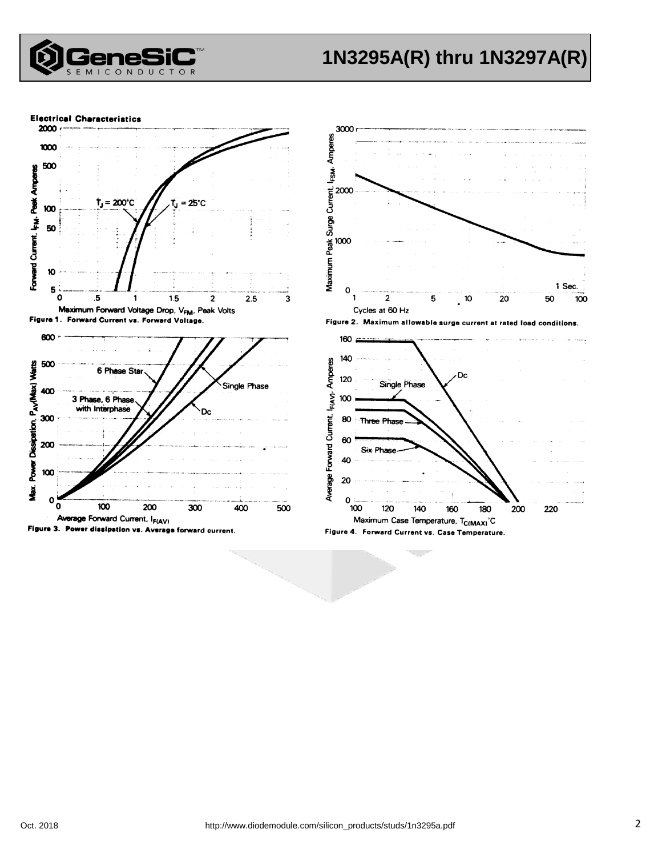

## **1N3295A(R) thru 1N3297A(R)**

**Electrical Characteristics** 





Figure 2. Maximum allowable surge current at rated load conditions.